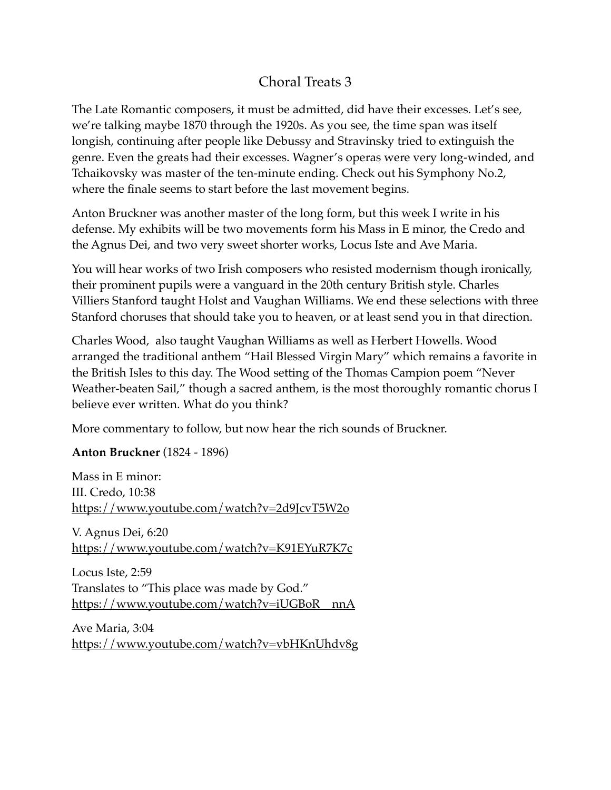## Choral Treats 3

The Late Romantic composers, it must be admitted, did have their excesses. Let's see, we're talking maybe 1870 through the 1920s. As you see, the time span was itself longish, continuing after people like Debussy and Stravinsky tried to extinguish the genre. Even the greats had their excesses. Wagner's operas were very long-winded, and Tchaikovsky was master of the ten-minute ending. Check out his Symphony No.2, where the finale seems to start before the last movement begins.

Anton Bruckner was another master of the long form, but this week I write in his defense. My exhibits will be two movements form his Mass in E minor, the Credo and the Agnus Dei, and two very sweet shorter works, Locus Iste and Ave Maria.

You will hear works of two Irish composers who resisted modernism though ironically, their prominent pupils were a vanguard in the 20th century British style. Charles Villiers Stanford taught Holst and Vaughan Williams. We end these selections with three Stanford choruses that should take you to heaven, or at least send you in that direction.

Charles Wood, also taught Vaughan Williams as well as Herbert Howells. Wood arranged the traditional anthem "Hail Blessed Virgin Mary" which remains a favorite in the British Isles to this day. The Wood setting of the Thomas Campion poem "Never Weather-beaten Sail," though a sacred anthem, is the most thoroughly romantic chorus I believe ever written. What do you think?

More commentary to follow, but now hear the rich sounds of Bruckner.

**Anton Bruckner** (1824 - 1896)

Mass in E minor: III. Credo, 10:38 <https://www.youtube.com/watch?v=2d9JcvT5W2o>

V. Agnus Dei, 6:20 <https://www.youtube.com/watch?v=K91EYuR7K7c>

Locus Iste, 2:59 Translates to "This place was made by God." https://www.youtube.com/watch?v=iUGBoR\_nnA

Ave Maria, 3:04 <https://www.youtube.com/watch?v=vbHKnUhdv8g>